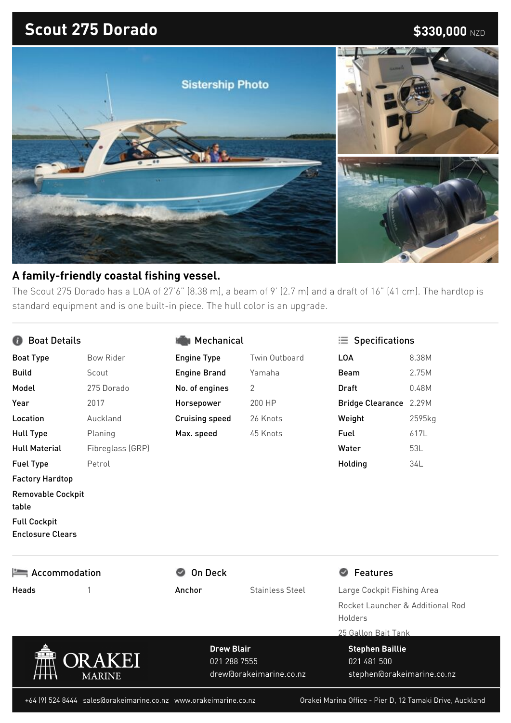# **Scout 275 Dorado \$330,000 NZD**



### **A family-friendly coastal fishing vessel.**

The Scout 275 Dorado has a LOA of 27'6" (8.38 m), a beam of 9' (2.7 m) and a draft of 16" (41 cm). The hardtop is standard equipment and is one built-in piece. The hull color is an upgrade.

### **Boat Details**

### **Boat Type** Bow Rider Build Scout Model 275 Dorado **Year** 2017 Location **Auckland** Hull Type Planing Hull Material Fibreglass (GRP) Fuel Type Petrol Factory Hardtop Removable Cockpit table Full Cockpit Enclosure Clears Engine Type Twin Outboard Engine Brand Yamaha No. of engines 2 Horsepower 200 HP Cruising speed 26 Knots Max. speed 45 Knots LOA 8.38M Beam 2.75M Draft 0.48M Bridge Clearance 2.29M Weight 2595kg Fuel 617L Water 53L Holding 34L

**Mechanical** 

| Accommodation                       |  | <b>On Deck</b>                                               |                 | Features<br>$\omega$                                                |
|-------------------------------------|--|--------------------------------------------------------------|-----------------|---------------------------------------------------------------------|
| Heads                               |  | Anchor                                                       | Stainless Steel | Large Cockpit Fishing Area                                          |
|                                     |  |                                                              |                 | Rocket Launcher & Additional Rod<br>Holders                         |
|                                     |  |                                                              |                 | 25 Gallon Bait Tank                                                 |
| 無<br><b>ORAKEI</b><br><b>MARINE</b> |  | <b>Drew Blair</b><br>021 288 7555<br>drew@orakeimarine.co.nz |                 | <b>Stephen Baillie</b><br>021 481 500<br>stephen@orakeimarine.co.nz |

+64 (9) 524 8444 sales@orakeimarine.co.nz www.orakeimarine.co.nz Orakei Marina Office - Pier D, 12 Tamaki Drive, Auckland

 $\equiv$  Specifications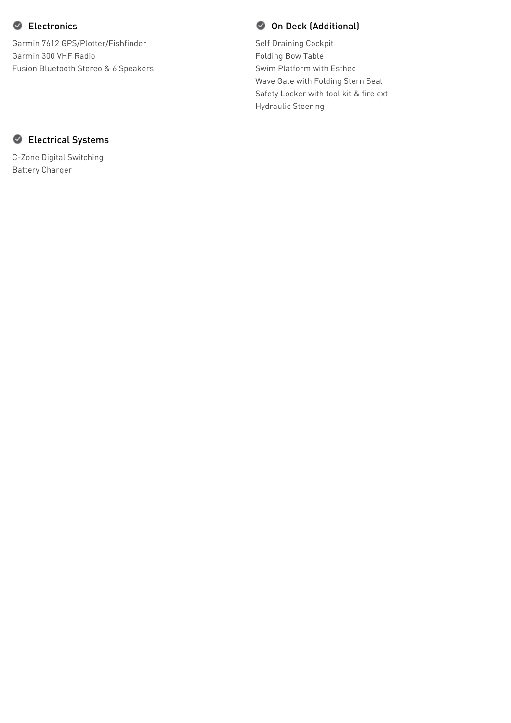### **Electronics**

Garmin 7612 GPS/Plotter/Fishfinder Garmin 300 VHF Radio Fusion Bluetooth Stereo & 6 Speakers

### On Deck (Additional)

Self Draining Cockpit Folding Bow Table Swim Platform with Esthec Wave Gate with Folding Stern Seat Safety Locker with tool kit & fire ext Hydraulic Steering

### **C** Electrical Systems

C-Zone Digital Switching Battery Charger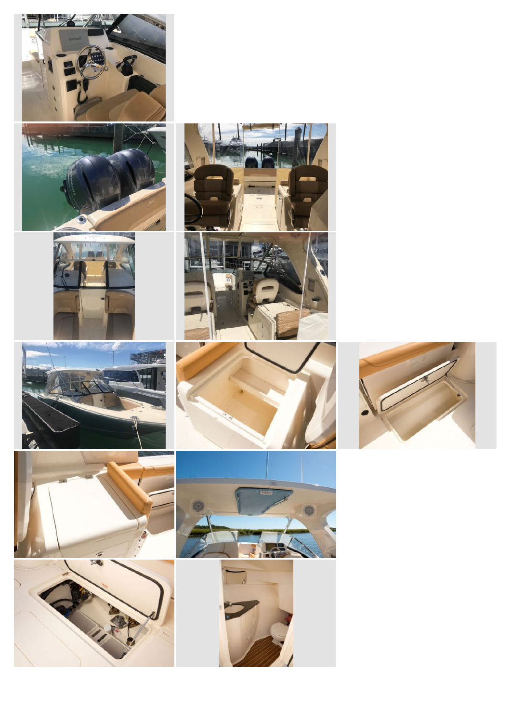





















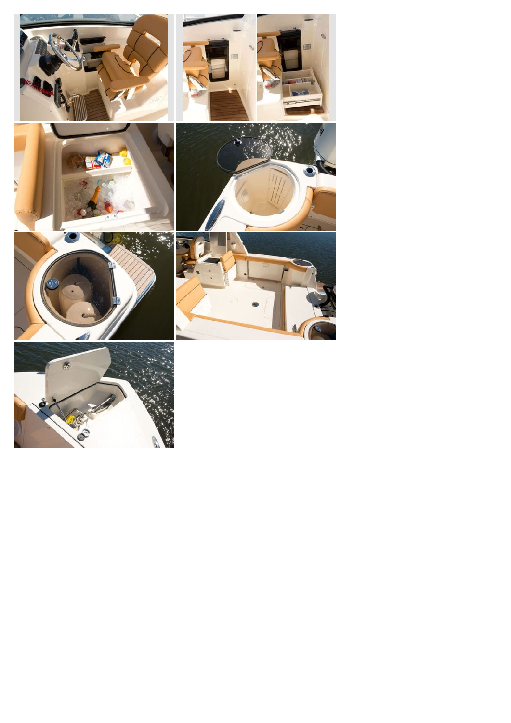